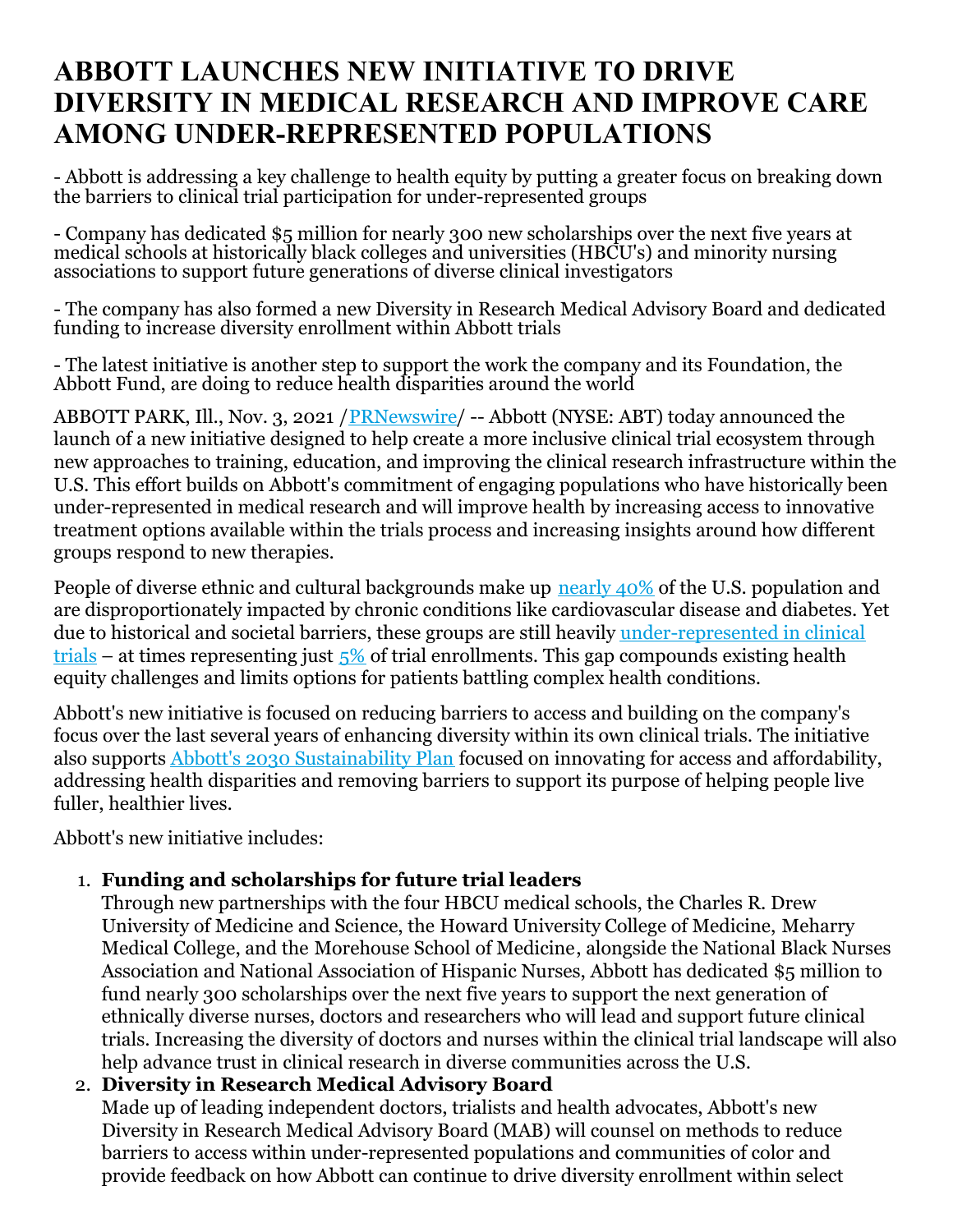# **ABBOTT LAUNCHES NEW INITIATIVE TO DRIVE DIVERSITY IN MEDICAL RESEARCH AND IMPROVE CARE AMONG UNDER-REPRESENTED POPULATIONS**

- Abbott is addressing a key challenge to health equity by putting a greater focus on breaking down the barriers to clinical trial participation for under-represented groups

- Company has dedicated \$5 million for nearly 300 new scholarships over the next five years at medical schools at historically black colleges and universities (HBCU's) and minority nursing associations to support future generations of diverse clinical investigators

- The company has also formed a new Diversity in Research Medical Advisory Board and dedicated funding to increase diversity enrollment within Abbott trials

- The latest initiative is another step to support the work the company and its Foundation, the Abbott Fund, are doing to reduce health disparities around the world

ABBOTT PARK, Ill., Nov. 3, 2021 / [PRNewswire](http://www.prnewswire.com/)/ -- Abbott (NYSE: ABT) today announced the launch of a new initiative designed to help create a more inclusive clinical trial ecosystem through new approaches to training, education, and improving the clinical research infrastructure within the U.S. This effort builds on Abbott's commitment of engaging populations who have historically been under-represented in medical research and will improve health by increasing access to innovative treatment options available within the trials process and increasing insights around how different groups respond to new therapies.

People of diverse ethnic and cultural backgrounds make up [nearly](https://c212.net/c/link/?t=0&l=en&o=3344968-1&h=4176052436&u=https%3A%2F%2Fwww.census.gov%2Flibrary%2Fvisualizations%2Finteractive%2Fracial-and-ethnic-diversity-in-the-united-states-2010-and-2020-census.html&a=nearly+40%25) 40% of the U.S. population and are disproportionately impacted by chronic conditions like cardiovascular disease and diabetes. Yet due to historical and societal barriers, these groups are still heavily [under-represented](https://c212.net/c/link/?t=0&l=en&o=3344968-1&h=2422234515&u=https%3A%2F%2Fwww.fda.gov%2Fmedia%2F143592%2Fdownload&a=under-represented+in+clinical+trials) in clinical trials – at times representing just  $\frac{5}{6}$  of trial enrollments. This gap compounds existing health equity challenges and limits options for patients battling complex health conditions.

Abbott's new initiative is focused on reducing barriers to access and building on the company's focus over the last several years of enhancing diversity within its own clinical trials. The initiative also supports Abbott's 2030 [Sustainability](https://c212.net/c/link/?t=0&l=en&o=3344968-1&h=3075219560&u=https%3A%2F%2Fwww.abbott.com%2Fresponsibility%2Fsustainability.html&a=Abbott%27s+2030+Sustainability+Plan) Plan focused on innovating for access and affordability, addressing health disparities and removing barriers to support its purpose of helping people live fuller, healthier lives.

Abbott's new initiative includes:

### 1. **Funding and scholarships for future trial leaders**

Through new partnerships with the four HBCU medical schools, the Charles R. Drew University of Medicine and Science, the Howard University College of Medicine, Meharry Medical College, and the Morehouse School of Medicine, alongside the National Black Nurses Association and National Association of Hispanic Nurses, Abbott has dedicated \$5 million to fund nearly 300 scholarships over the next five years to support the next generation of ethnically diverse nurses, doctors and researchers who will lead and support future clinical trials. Increasing the diversity of doctors and nurses within the clinical trial landscape will also help advance trust in clinical research in diverse communities across the U.S.

#### 2. **Diversity in Research Medical Advisory Board**

Made up of leading independent doctors, trialists and health advocates, Abbott's new Diversity in Research Medical Advisory Board (MAB) will counsel on methods to reduce barriers to access within under-represented populations and communities of color and provide feedback on how Abbott can continue to drive diversity enrollment within select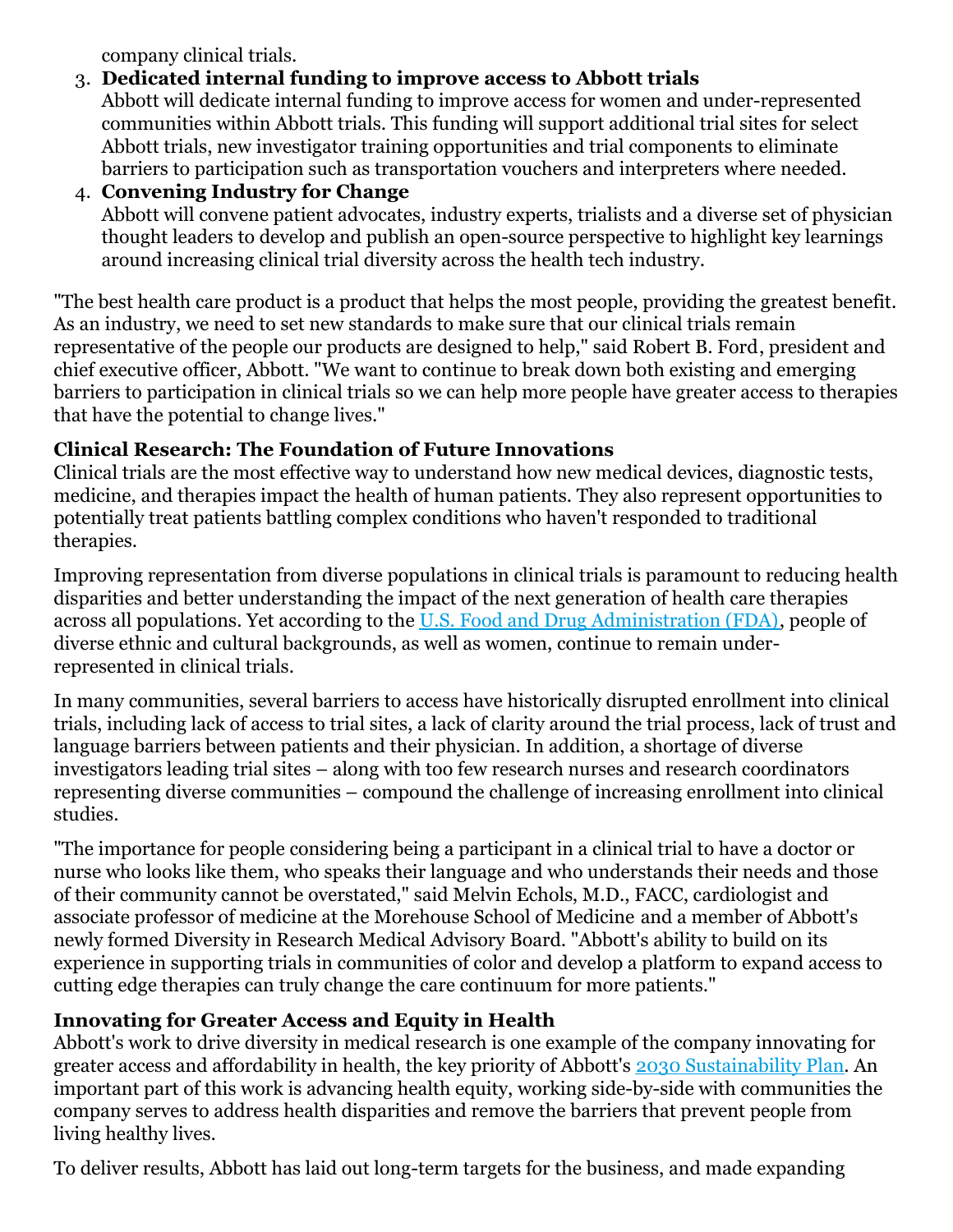company clinical trials.

## 3. **Dedicated internal funding to improve access to Abbott trials**

Abbott will dedicate internal funding to improve access for women and under-represented communities within Abbott trials. This funding will support additional trial sites for select Abbott trials, new investigator training opportunities and trial components to eliminate barriers to participation such as transportation vouchers and interpreters where needed.

#### 4. **Convening Industry for Change**

Abbott will convene patient advocates, industry experts, trialists and a diverse set of physician thought leaders to develop and publish an open-source perspective to highlight key learnings around increasing clinical trial diversity across the health tech industry.

"The best health care product is a product that helps the most people, providing the greatest benefit. As an industry, we need to set new standards to make sure that our clinical trials remain representative of the people our products are designed to help," said Robert B. Ford, president and chief executive officer, Abbott. "We want to continue to break down both existing and emerging barriers to participation in clinical trials so we can help more people have greater access to therapies that have the potential to change lives."

### **Clinical Research: The Foundation of Future Innovations**

Clinical trials are the most effective way to understand how new medical devices, diagnostic tests, medicine, and therapies impact the health of human patients. They also represent opportunities to potentially treat patients battling complex conditions who haven't responded to traditional therapies.

Improving representation from diverse populations in clinical trials is paramount to reducing health disparities and better understanding the impact of the next generation of health care therapies across all populations. Yet according to the U.S. Food and Drug [Administration](https://c212.net/c/link/?t=0&l=en&o=3344968-1&h=2312083426&u=https%3A%2F%2Fwww.fda.gov%2Fconsumers%2Fconsumer-updates%2Ffda-encourages-more-participation-diversity-clinical-trials&a=U.S.+Food+and+Drug+Administration+(FDA)) (FDA), people of diverse ethnic and cultural backgrounds, as well as women, continue to remain underrepresented in clinical trials.

In many communities, several barriers to access have historically disrupted enrollment into clinical trials, including lack of access to trial sites, a lack of clarity around the trial process, lack of trust and language barriers between patients and their physician. In addition, a shortage of diverse investigators leading trial sites – along with too few research nurses and research coordinators representing diverse communities – compound the challenge of increasing enrollment into clinical studies.

"The importance for people considering being a participant in a clinical trial to have a doctor or nurse who looks like them, who speaks their language and who understands their needs and those of their community cannot be overstated," said Melvin Echols, M.D., FACC, cardiologist and associate professor of medicine at the Morehouse School of Medicine and a member of Abbott's newly formed Diversity in Research Medical Advisory Board. "Abbott's ability to build on its experience in supporting trials in communities of color and develop a platform to expand access to cutting edge therapies can truly change the care continuum for more patients."

# **Innovating for Greater Access and Equity in Health**

Abbott's work to drive diversity in medical research is one example of the company innovating for greater access and affordability in health, the key priority of Abbott's 2030 [Sustainability](https://c212.net/c/link/?t=0&l=en&o=3344968-1&h=3510880382&u=http%3A%2F%2Fwww.abbott.com%2Fsustainability&a=2030+Sustainability+Plan) Plan. An important part of this work is advancing health equity, working side-by-side with communities the company serves to address health disparities and remove the barriers that prevent people from living healthy lives.

To deliver results, Abbott has laid out long-term targets for the business, and made expanding